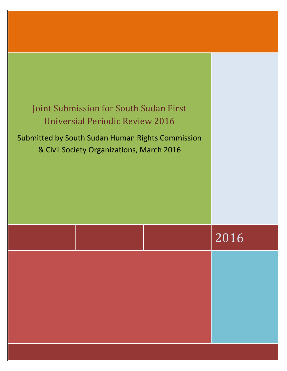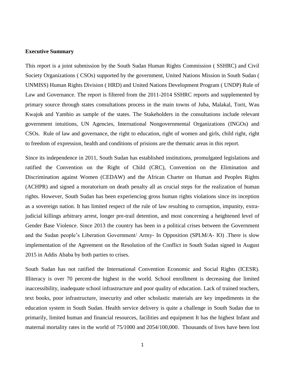# **Executive Summary**

This report is a joint submission by the South Sudan Human Rights Commission ( SSHRC) and Civil Society Organizations ( CSOs) supported by the government, United Nations Mission in South Sudan ( UNMISS) Human Rights Division ( HRD) and United Nations Development Program ( UNDP) Rule of Law and Governance. The report is filtered from the 2011-2014 SSHRC reports and supplemented by primary source through states consultations process in the main towns of Juba, Malakal, Torit, Wau Kwajok and Yambio as sample of the states. The Stakeholders in the consultations include relevant government intuitions, UN Agencies, International Nongovernmental Organizations (INGOs) and CSOs. Rule of law and governance, the right to education, right of women and girls, child right, right to freedom of expression, health and conditions of prisions are the thematic areas in this report.

Since its independence in 2011, South Sudan has established institutions, promulgated legislations and ratified the Convention on the Right of Child (CRC), Convention on the Elimination and Discrimination against Women (CEDAW) and the African Charter on Human and Peoples Rights (ACHPR) and signed a moratorium on death penalty all as crucial steps for the realization of human rights. However, South Sudan has been experiencing gross human rights violations since its inception as a sovereign nation. It has limited respect of the rule of law resulting to corruption, impunity, extrajudicial killings arbitrary arrest, longer pre-trail detention, and most concerning a heightened level of Gender Base Violence. Since 2013 the country has been in a political crises between the Government and the Sudan people's Liberation Government/ Army- In Opposition (SPLM/A- IO) .There is slow implementation of the Agreement on the Resolution of the Conflict in South Sudan signed in August 2015 in Addis Ababa by both parties to crises.

South Sudan has not ratified the International Convention Economic and Social Rights (ICESR). Illiteracy is over 70 percent-the highest in the world. School enrollment is decreasing due limited inaccessibility, inadequate school infrastructure and poor quality of education. Lack of trained teachers, text books, poor infrastructure, insecurity and other scholastic materials are key impediments in the education system in South Sudan. Health service delivery is quite a challenge in South Sudan due to primarily, limited human and financial resources, facilities and equipment It has the highest Infant and maternal mortality rates in the world of 75/1000 and 2054/100,000. Thousands of lives have been lost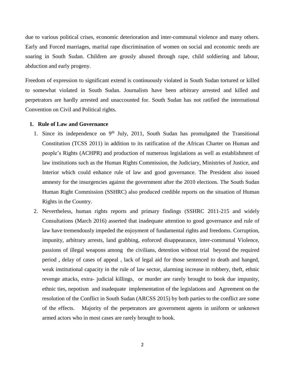due to various political crises, economic deterioration and inter-communal violence and many others. Early and Forced marriages, marital rape discrimination of women on social and economic needs are soaring in South Sudan. Children are grossly abused through rape, child soldiering and labour, abduction and early progeny.

Freedom of expression to significant extend is continuously violated in South Sudan tortured or killed to somewhat violated in South Sudan. Journalists have been arbitrary arrested and killed and perpetrators are hardly arrested and unaccounted for. South Sudan has not ratified the international Convention on Civil and Political rights.

## **1. Rule of Law and Governance**

- 1. Since its independence on  $9<sup>th</sup>$  July, 2011, South Sudan has promulgated the Transitional Constitution (TCSS 2011) in addition to its ratification of the African Charter on Human and people's Rights (ACHPR) and production of numerous legislations as well as establishment of law institutions such as the Human Rights Commission, the Judiciary, Ministries of Justice, and Interior which could enhance rule of law and good governance. The President also issued amnesty for the insurgencies against the government after the 2010 elections. The South Sudan Human Right Commission (SSHRC) also produced credible reports on the situation of Human Rights in the Country.
- 2. Nevertheless, human rights reports and primary findings (SSHRC 2011-215 and widely Consultations (March 2016) asserted that inadequate attention to good governance and rule of law have tremendously impeded the enjoyment of fundamental rights and freedoms. Corruption, impunity, arbitrary arrests, land grabbing, enforced disappearance, inter-communal Violence, passions of illegal weapons among the civilians, detention without trial beyond the required period , delay of cases of appeal , lack of legal aid for those sentenced to death and hanged, weak institutional capacity in the rule of law sector, alarming increase in robbery, theft, ethnic revenge attacks, extra- judicial killings, or murder are rarely brought to book due impunity, ethnic ties, nepotism and inadequate implementation of the legislations and Agreement on the resolution of the Conflict in South Sudan (ARCSS 2015) by both parties to the conflict are some of the effects. Majority of the perpetrators are government agents in uniform or unknown armed actors who in most cases are rarely brought to book.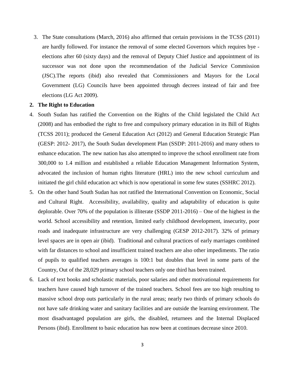3. The State consultations (March, 2016) also affirmed that certain provisions in the TCSS (2011) are hardly followed. For instance the removal of some elected Governors which requires bye elections after 60 (sixty days) and the removal of Deputy Chief Justice and appointment of its successor was not done upon the recommendation of the Judicial Service Commission (JSC).The reports (ibid) also revealed that Commissioners and Mayors for the Local Government (LG) Councils have been appointed through decrees instead of fair and free elections (LG Act 2009).

### **2. The Right to Education**

- 4. South Sudan has ratified the Convention on the Rights of the Child legislated the Child Act (2008) and has embodied the right to free and compulsory primary education in its Bill of Rights (TCSS 2011); produced the General Education Act (2012) and General Education Strategic Plan (GESP: 2012- 2017), the South Sudan development Plan (SSDP: 2011-2016) and many others to enhance education. The new nation has also attempted to improve the school enrollment rate from 300,000 to 1.4 million and established a reliable Education Management Information System, advocated the inclusion of human rights literature (HRL) into the new school curriculum and initiated the girl child education act which is now operational in some few states (SSHRC 2012).
- 5. On the other hand South Sudan has not ratified the International Convention on Economic, Social and Cultural Right. Accessibility, availability, quality and adaptability of education is quite deplorable. Over 70% of the population is illiterate (SSDP 2011-2016) – One of the highest in the world. School accessibility and retention, limited early childhood development, insecurity, poor roads and inadequate infrastructure are very challenging (GESP 2012-2017). 32% of primary level spaces are in open air (ibid). Traditional and cultural practices of early marriages combined with far distances to school and insufficient trained teachers are also other impediments. The ratio of pupils to qualified teachers averages is 100:1 but doubles that level in some parts of the Country, Out of the 28,029 primary school teachers only one third has been trained.
- 6. Lack of text books and scholastic materials, poor salaries and other motivational requirements for teachers have caused high turnover of the trained teachers. School fees are too high resulting to massive school drop outs particularly in the rural areas; nearly two thirds of primary schools do not have safe drinking water and sanitary facilities and are outside the learning environment. The most disadvantaged population are girls, the disabled, returnees and the Internal Displaced Persons (ibid). Enrollment to basic education has now been at continues decrease since 2010.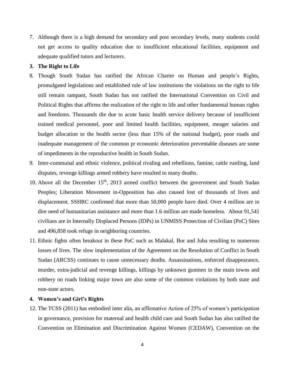7. Although there is a high demand for secondary and post secondary levels, many students could not get access to quality education due to insufficient educational facilities, equipment and adequate qualified tutors and lecturers.

# **3. The Right to Life**

- 8. Though South Sudan has ratified the African Charter on Human and people's Rights, promulgated legislations and established rule of law institutions the violations on the right to life still remain rampant, South Sudan has not ratified the International Convention on Civil and Political Rights that affirms the realization of the right to life and other fundamental human rights and freedoms. Thousands die due to acute basic health service delivery because of insufficient trained medical personnel, poor and limited health facilities, equipment, meager salaries and budget allocation to the health sector (less than 15% of the national budget), poor roads and inadequate management of the common pr economic deterioration preventable diseases are some of impediments in the reproductive health in South Sudan.
- 9. Inter-communal and ethnic violence, political rivaling and rebellions, famine, cattle rustling, land disputes, revenge killings armed robbery have resulted to many deaths.
- 10. Above all the December 15<sup>th</sup>, 2013 armed conflict between the government and South Sudan Peoples; Liberation Movement in-Opposition has also caused lost of thousands of lives and displacement. SSHRC confirmed that more than 50,000 people have died. Over 4 million are in dire need of humanitarian assistance and more than 1.6 million are made homeless. About 91,541 civilians are in Internally Displaced Persons (IDPs) in UNMISS Protection of Civilian (PoC) Sites and 496,858 took refuge in neighboring countries.
- 11. Ethnic fights often breakout in these PoC such as Malakal, Bor and Juba resulting to numerous losses of lives. The slow implementation of the Agreement on the Resolution of Conflict in South Sudan (ARCSS) continues to cause unnecessary deaths. Assassinations, enforced disappearance, murder, extra-judicial and revenge killings, killings by unknown gunmen in the main towns and robbery on roads linking major town are also some of the common violations by both state and non-state actors.

# **4. Women's and Girl's Rights**

12. The TCSS (2011) has embodied inter alia, an affirmative Action of 25% of women's participation in governance, provision for maternal and health child care and South Sudan has also ratified the Convention on Elimination and Discrimination Against Women (CEDAW), Convention on the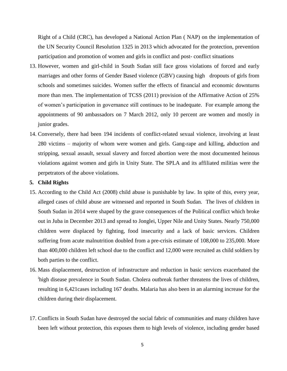Right of a Child (CRC), has developed a National Action Plan ( NAP) on the implementation of the UN Security Council Resolution 1325 in 2013 which advocated for the protection, prevention participation and promotion of women and girls in conflict and post- conflict situations

- 13. However, women and girl-child in South Sudan still face gross violations of forced and early marriages and other forms of Gender Based violence (GBV) causing high dropouts of girls from schools and sometimes suicides. Women suffer the effects of financial and economic downturns more than men. The implementation of TCSS (2011) provision of the Affirmative Action of 25% of women's participation in governance still continues to be inadequate. For example among the appointments of 90 ambassadors on 7 March 2012, only 10 percent are women and mostly in junior grades.
- 14. Conversely, there had been 194 incidents of conflict-related sexual violence, involving at least 280 victims – majority of whom were women and girls. Gang-rape and killing, abduction and stripping, sexual assault, sexual slavery and forced abortion were the most documented heinous violations against women and girls in Unity State. The SPLA and its affiliated militias were the perpetrators of the above violations.

## **5. Child Rights**

- 15. According to the Child Act (2008) child abuse is punishable by law. In spite of this, every year, alleged cases of child abuse are witnessed and reported in South Sudan. The lives of children in South Sudan in 2014 were shaped by the grave consequences of the Political conflict which broke out in Juba in December 2013 and spread to Jonglei, Upper Nile and Unity States. Nearly 750,000 children were displaced by fighting, food insecurity and a lack of basic services. Children suffering from acute malnutrition doubled from a pre-crisis estimate of 108,000 to 235,000. More than 400,000 children left school due to the conflict and 12,000 were recruited as child soldiers by both parties to the conflict.
- 16. Mass displacement, destruction of infrastructure and reduction in basic services exacerbated the high disease prevalence in South Sudan. Cholera outbreak further threatens the lives of children, resulting in 6,421cases including 167 deaths. Malaria has also been in an alarming increase for the children during their displacement.
- 17. Conflicts in South Sudan have destroyed the social fabric of communities and many children have been left without protection, this exposes them to high levels of violence, including gender based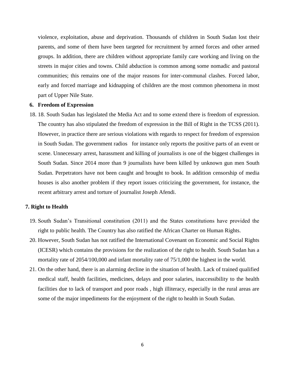violence, exploitation, abuse and deprivation. Thousands of children in South Sudan lost their parents, and some of them have been targeted for recruitment by armed forces and other armed groups. In addition, there are children without appropriate family care working and living on the streets in major cities and towns. Child abduction is common among some nomadic and pastoral communities; this remains one of the major reasons for inter-communal clashes. Forced labor, early and forced marriage and kidnapping of children are the most common phenomena in most part of Upper Nile State.

#### **6. Freedom of Expression**

18. 18. South Sudan has legislated the Media Act and to some extend there is freedom of expression. The country has also stipulated the freedom of expression in the Bill of Right in the TCSS (2011). However, in practice there are serious violations with regards to respect for freedom of expression in South Sudan. The government radios for instance only reports the positive parts of an event or scene. Unnecessary arrest, harassment and killing of journalists is one of the biggest challenges in South Sudan. Since 2014 more than 9 journalists have been killed by unknown gun men South Sudan. Perpetrators have not been caught and brought to book. In addition censorship of media houses is also another problem if they report issues criticizing the government, for instance, the recent arbitrary arrest and torture of journalist Joseph Afendi.

# **7. Right to Health**

- 19. South Sudan's Transitional constitution (2011) and the States constitutions have provided the right to public health. The Country has also ratified the African Charter on Human Rights.
- 20. However, South Sudan has not ratified the International Covenant on Economic and Social Rights (ICESR) which contains the provisions for the realization of the right to health. South Sudan has a mortality rate of 2054/100,000 and infant mortality rate of 75/1,000 the highest in the world.
- 21. On the other hand, there is an alarming decline in the situation of health. Lack of trained qualified medical staff, health facilities, medicines, delays and poor salaries, inaccessibility to the health facilities due to lack of transport and poor roads , high illiteracy, especially in the rural areas are some of the major impediments for the enjoyment of the right to health in South Sudan.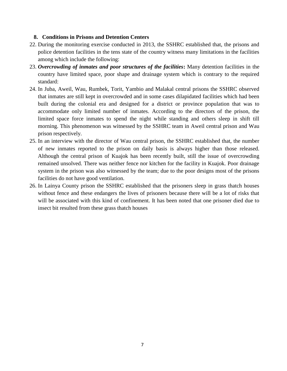# **8. Conditions in Prisons and Detention Centers**

- 22. During the monitoring exercise conducted in 2013, the SSHRC established that, the prisons and police detention facilities in the tens state of the country witness many limitations in the facilities among which include the following:
- 23. *Overcrowding of inmates and poor structures of the facilities***:** Many detention facilities in the country have limited space, poor shape and drainage system which is contrary to the required standard:
- 24. In Juba, Aweil, Wau, Rumbek, Torit, Yambio and Malakal central prisons the SSHRC observed that inmates are still kept in overcrowded and in some cases dilapidated facilities which had been built during the colonial era and designed for a district or province population that was to accommodate only limited number of inmates. According to the directors of the prison, the limited space force inmates to spend the night while standing and others sleep in shift till morning. This phenomenon was witnessed by the SSHRC team in Aweil central prison and Wau prison respectively.
- 25. In an interview with the director of Wau central prison, the SSHRC established that, the number of new inmates reported to the prison on daily basis is always higher than those released. Although the central prison of Kuajok has been recently built, still the issue of overcrowding remained unsolved. There was neither fence nor kitchen for the facility in Kuajok. Poor drainage system in the prison was also witnessed by the team; due to the poor designs most of the prisons facilities do not have good ventilation.
- 26. In Lainya County prison the SSHRC established that the prisoners sleep in grass thatch houses without fence and these endangers the lives of prisoners because there will be a lot of risks that will be associated with this kind of confinement. It has been noted that one prisoner died due to insect bit resulted from these grass thatch houses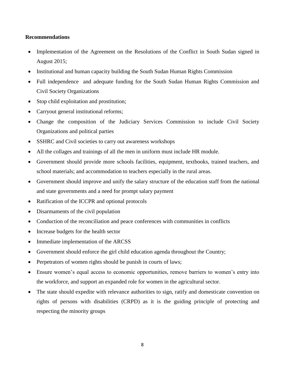# **Recommendations**

- Implementation of the Agreement on the Resolutions of the Conflict in South Sudan signed in August 2015;
- Institutional and human capacity building the South Sudan Human Rights Commission
- Full independence and adequate funding for the South Sudan Human Rights Commission and Civil Society Organizations
- Stop child exploitation and prostitution;
- Carryout general institutional reforms;
- Change the composition of the Judiciary Services Commission to include Civil Society Organizations and political parties
- SSHRC and Civil societies to carry out awareness workshops
- All the collages and trainings of all the men in uniform must include HR module.
- Government should provide more schools facilities, equipment, textbooks, trained teachers, and school materials; and accommodation to teachers especially in the rural areas.
- Government should improve and unify the salary structure of the education staff from the national and state governments and a need for prompt salary payment
- Ratification of the ICCPR and optional protocols
- Disarmaments of the civil population
- Conduction of the reconciliation and peace conferences with communities in conflicts
- Increase budgets for the health sector
- Immediate implementation of the ARCSS
- Government should enforce the girl child education agenda throughout the Country;
- Perpetrators of women rights should be punish in courts of laws;
- Ensure women's equal access to economic opportunities, remove barriers to women's entry into the workforce, and support an expanded role for women in the agricultural sector.
- The state should expedite with relevance authorities to sign, ratify and domesticate convention on rights of persons with disabilities (CRPD) as it is the guiding principle of protecting and respecting the minority groups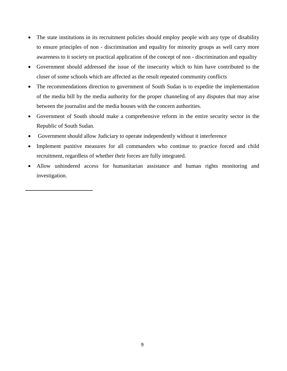- The state institutions in its recruitment policies should employ people with any type of disability to ensure principles of non - discrimination and equality for minority groups as well carry more awareness to it society on practical application of the concept of non - discrimination and equality
- Government should addressed the issue of the insecurity which to him have contributed to the closer of some schools which are affected as the result repeated community conflicts
- The recommendations direction to government of South Sudan is to expedite the implementation of the media bill by the media authority for the proper channeling of any disputes that may arise between the journalist and the media houses with the concern authorities.
- Government of South should make a comprehensive reform in the entire security sector in the Republic of South Sudan.
- Government should allow Judiciary to operate independently without it interference

 $\overline{\phantom{a}}$ 

- Implement punitive measures for all commanders who continue to practice forced and child recruitment, regardless of whether their forces are fully integrated.
- Allow unhindered access for humanitarian assistance and human rights monitoring and investigation.